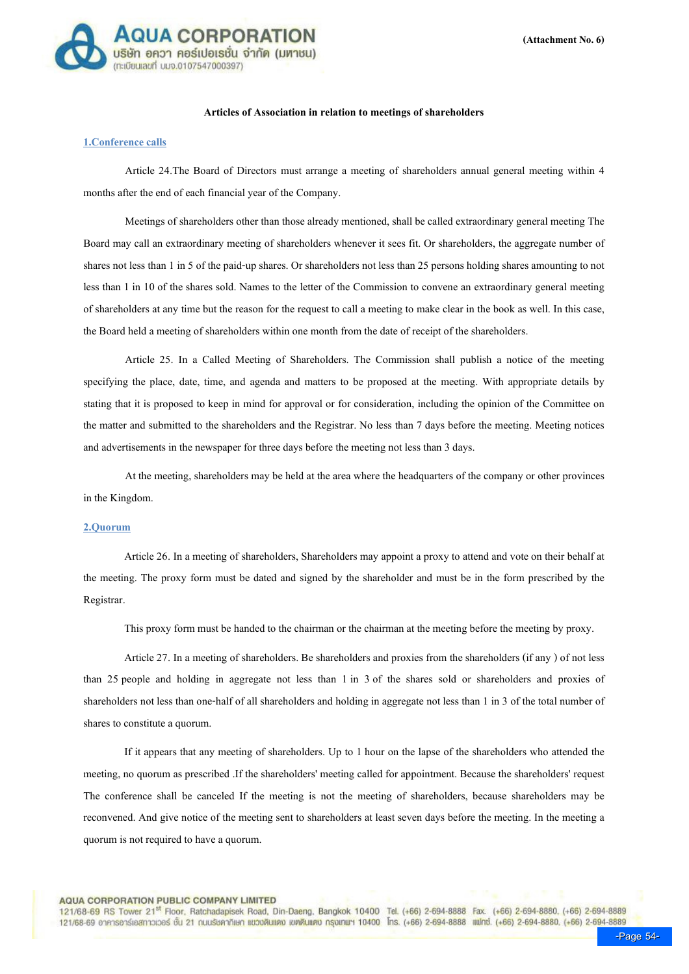

# Articles of Association in relation to meetings of shareholders

## 1.Conference calls

Article 24.The Board of Directors must arrange a meeting of shareholders annual general meeting within 4 months after the end of each financial year of the Company.

Meetings of shareholders other than those already mentioned, shall be called extraordinary general meeting The Board may call an extraordinary meeting of shareholders whenever it sees fit. Or shareholders, the aggregate number of shares not less than 1 in 5 of the paid-up shares. Or shareholders not less than 25 persons holding shares amounting to not less than 1 in 10 of the shares sold. Names to the letter of the Commission to convene an extraordinary general meeting of shareholders at any time but the reason for the request to call a meeting to make clear in the book as well. In this case, the Board held a meeting of shareholders within one month from the date of receipt of the shareholders.

Article 25. In a Called Meeting of Shareholders. The Commission shall publish a notice of the meeting specifying the place, date, time, and agenda and matters to be proposed at the meeting. With appropriate details by stating that it is proposed to keep in mind for approval or for consideration, including the opinion of the Committee on the matter and submitted to the shareholders and the Registrar. No less than 7 days before the meeting. Meeting notices and advertisements in the newspaper for three days before the meeting not less than 3 days.

At the meeting, shareholders may be held at the area where the headquarters of the company or other provinces in the Kingdom.

## 2.Quorum

 Article 26. In a meeting of shareholders, Shareholders may appoint a proxy to attend and vote on their behalf at the meeting. The proxy form must be dated and signed by the shareholder and must be in the form prescribed by the Registrar.

This proxy form must be handed to the chairman or the chairman at the meeting before the meeting by proxy.

 Article 27. In a meeting of shareholders. Be shareholders and proxies from the shareholders (if any ) of not less than 25 people and holding in aggregate not less than 1 in 3 of the shares sold or shareholders and proxies of shareholders not less than one-half of all shareholders and holding in aggregate not less than 1 in 3 of the total number of shares to constitute a quorum.

 If it appears that any meeting of shareholders. Up to 1 hour on the lapse of the shareholders who attended the meeting, no quorum as prescribed .If the shareholders' meeting called for appointment. Because the shareholders' request The conference shall be canceled If the meeting is not the meeting of shareholders, because shareholders may be reconvened. And give notice of the meeting sent to shareholders at least seven days before the meeting. In the meeting a quorum is not required to have a quorum.

#### **AQUA CORPORATION PUBLIC COMPANY LIMITED**

121/68-69 RS Tower 21<sup>st</sup> Floor, Ratchadapisek Road, Din-Daeng, Bangkok 10400 Tel. (+66) 2-694-8888 Fax. (+66) 2-694-8880, (+66) 2-694-8889 121/68-69 อาคารอาร์เอสทาวเวอร์ ชั้น 21 กนบรัชคาภิเษก แขวงดินแดง เขตดินแดง กรุงเทพฯ 10400 โทร. (+66) 2-694-8888 แฟทซ์. (+66) 2-694-8880, (+66) 2-694-8889